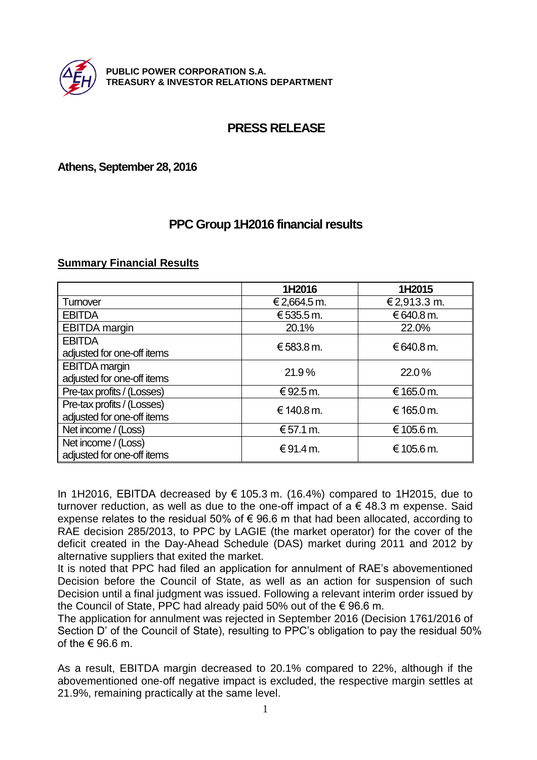

**PUBLIC POWER CORPORATION S.A. TREASURY & ΙNVESTOR RELATIONS DEPARTMENT**

# **PRESS RELEASE**

### **Athens, September 28, 2016**

# **PPC Group 1H2016 financial results**

### **Summary Financial Results**

|                                                          | 1H2016       | 1H2015      |
|----------------------------------------------------------|--------------|-------------|
| Tumover                                                  | € 2,664.5 m. | €2,913.3 m. |
| <b>EBITDA</b>                                            | € 535.5 m.   | €640.8 m.   |
| <b>EBITDA</b> margin                                     | 20.1%        | 22.0%       |
| <b>EBITDA</b><br>adjusted for one-off items              | € 583.8 m.   | €640.8 m.   |
| <b>EBITDA</b> margin<br>adjusted for one-off items       | 21.9%        | 22.0%       |
| Pre-tax profits / (Losses)                               | €92.5 m.     | € 165.0 m.  |
| Pre-tax profits / (Losses)<br>adjusted for one-off items | € 140.8 m.   | € 165.0 m.  |
| Net income / (Loss)                                      | €57.1 m.     | € 105.6 m.  |
| Net income / (Loss)<br>adjusted for one-off items        | € 91.4 m.    | € 105.6 m.  |

In 1H2016, EBITDA decreased by  $\epsilon$  105.3 m. (16.4%) compared to 1H2015, due to turnover reduction, as well as due to the one-off impact of  $a \in 48.3$  m expense. Said expense relates to the residual 50% of  $\epsilon$  96.6 m that had been allocated, according to RAE decision 285/2013, to PPC by LAGIE (the market operator) for the cover of the deficit created in the Day-Ahead Schedule (DAS) market during 2011 and 2012 by alternative suppliers that exited the market.

It is noted that PPC had filed an application for annulment of RAE's abovementioned Decision before the Council of State, as well as an action for suspension of such Decision until a final judgment was issued. Following a relevant interim order issued by the Council of State, PPC had already paid 50% out of the € 96.6 m.

The application for annulment was rejected in September 2016 (Decision 1761/2016 of Section D' of the Council of State), resulting to PPC's obligation to pay the residual 50% of the  $\epsilon$  96.6 m.

As a result, EBITDA margin decreased to 20.1% compared to 22%, although if the abovementioned one-off negative impact is excluded, the respective margin settles at 21.9%, remaining practically at the same level.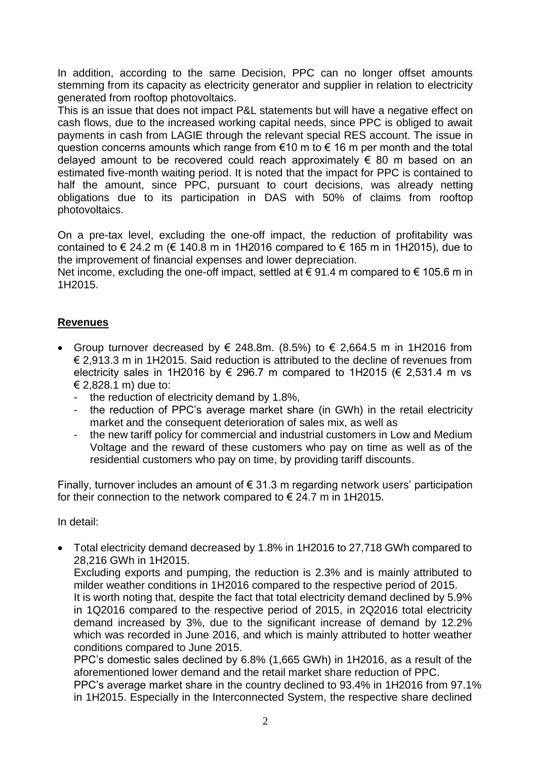In addition, according to the same Decision, PPC can no longer offset amounts stemming from its capacity as electricity generator and supplier in relation to electricity generated from rooftop photovoltaics.

This is an issue that does not impact P&L statements but will have a negative effect on cash flows, due to the increased working capital needs, since PPC is obliged to await payments in cash from LAGIE through the relevant special RES account. The issue in question concerns amounts which range from  $610 \text{ m}$  to  $616 \text{ m}$  per month and the total delayed amount to be recovered could reach approximately  $\epsilon$  80 m based on an estimated five-month waiting period. It is noted that the impact for PPC is contained to half the amount, since PPC, pursuant to court decisions, was already netting obligations due to its participation in DAS with 50% of claims from rooftop photovoltaics.

On a pre-tax level, excluding the one-off impact, the reduction of profitability was contained to  $\epsilon$  24.2 m ( $\epsilon$  140.8 m in 1H2016 compared to  $\epsilon$  165 m in 1H2015), due to the improvement of financial expenses and lower depreciation.

Net income, excluding the one-off impact, settled at  $\epsilon$  91.4 m compared to  $\epsilon$  105.6 m in 1H2015.

## **Revenues**

- Group turnover decreased by  $\epsilon$  248.8m. (8.5%) to  $\epsilon$  2,664.5 m in 1H2016 from € 2,913.3 m in 1H2015. Said reduction is attributed to the decline of revenues from electricity sales in 1H2016 by  $\epsilon$  296.7 m compared to 1H2015 ( $\epsilon$  2,531.4 m vs € 2,828.1 m) due to:
	- the reduction of electricity demand by 1.8%,
	- the reduction of PPC's average market share (in GWh) in the retail electricity market and the consequent deterioration of sales mix, as well as
	- the new tariff policy for commercial and industrial customers in Low and Medium Voltage and the reward of these customers who pay on time as well as of the residential customers who pay on time, by providing tariff discounts.

Finally, turnover includes an amount of  $\epsilon$  31.3 m regarding network users' participation for their connection to the network compared to  $\epsilon$  24.7 m in 1H2015.

In detail:

 Total electricity demand decreased by 1.8% in 1H2016 to 27,718 GWh compared to 28,216 GWh in 1H2015.

Excluding exports and pumping, the reduction is 2.3% and is mainly attributed to milder weather conditions in 1H2016 compared to the respective period of 2015. It is worth noting that, despite the fact that total electricity demand declined by 5.9% in 1Q2016 compared to the respective period of 2015, in 2Q2016 total electricity demand increased by 3%, due to the significant increase of demand by 12.2% which was recorded in June 2016, and which is mainly attributed to hotter weather conditions compared to June 2015.

PPC's domestic sales declined by 6.8% (1,665 GWh) in 1H2016, as a result of the aforementioned lower demand and the retail market share reduction of PPC. PPC's average market share in the country declined to 93.4% in 1H2016 from 97.1% in 1H2015. Especially in the Interconnected System, the respective share declined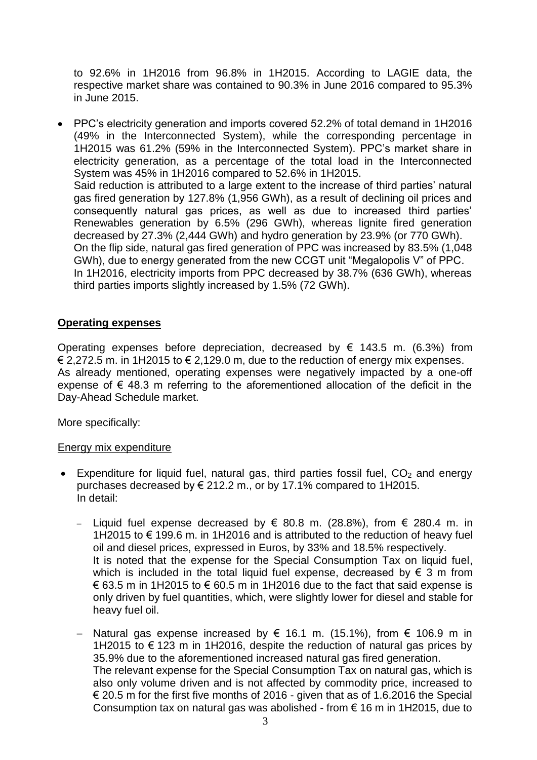to 92.6% in 1H2016 from 96.8% in 1H2015. According to LAGIE data, the respective market share was contained to 90.3% in June 2016 compared to 95.3% in June 2015.

 PPC's electricity generation and imports covered 52.2% of total demand in 1H2016 (49% in the Interconnected System), while the corresponding percentage in 1H2015 was 61.2% (59% in the Interconnected System). PPC's market share in electricity generation, as a percentage of the total load in the Interconnected System was 45% in 1H2016 compared to 52.6% in 1H2015. Said reduction is attributed to a large extent to the increase of third parties' natural gas fired generation by 127.8% (1,956 GWh), as a result of declining oil prices and consequently natural gas prices, as well as due to increased third parties' Renewables generation by 6.5% (296 GWh), whereas lignite fired generation decreased by 27.3% (2,444 GWh) and hydro generation by 23.9% (or 770 GWh). On the flip side, natural gas fired generation of PPC was increased by 83.5% (1,048 GWh), due to energy generated from the new CCGT unit "Megalopolis V" of PPC. In 1H2016, electricity imports from PPC decreased by 38.7% (636 GWh), whereas third parties imports slightly increased by 1.5% (72 GWh).

#### **Operating expenses**

Operating expenses before depreciation, decreased by  $\epsilon$  143.5 m. (6.3%) from € 2,272.5 m. in 1H2015 to  $∈$  2,129.0 m, due to the reduction of energy mix expenses. As already mentioned, operating expenses were negatively impacted by a one-off expense of  $\epsilon$  48.3 m referring to the aforementioned allocation of the deficit in the Day-Ahead Schedule market.

More specifically:

#### Energy mix expenditure

- Expenditure for liquid fuel, natural gas, third parties fossil fuel,  $CO<sub>2</sub>$  and energy purchases decreased by € 212.2 m., or by 17.1% compared to 1H2015. In detail:
	- Liquid fuel expense decreased by € 80.8 m. (28.8%), from € 280.4 m. in 1H2015 to € 199.6 m. in 1H2016 and is attributed to the reduction of heavy fuel oil and diesel prices, expressed in Euros, by 33% and 18.5% respectively. It is noted that the expense for the Special Consumption Tax on liquid fuel, which is included in the total liquid fuel expense, decreased by  $\epsilon$  3 m from € 63.5 m in 1H2015 to  $\epsilon$  60.5 m in 1H2016 due to the fact that said expense is only driven by fuel quantities, which, were slightly lower for diesel and stable for heavy fuel oil.
	- Natural gas expense increased by € 16.1 m. (15.1%), from € 106.9 m in 1H2015 to € 123 m in 1H2016, despite the reduction of natural gas prices by 35.9% due to the aforementioned increased natural gas fired generation. The relevant expense for the Special Consumption Tax on natural gas, which is also only volume driven and is not affected by commodity price, increased to € 20.5 m for the first five months of 2016 - given that as of 1.6.2016 the Special Consumption tax on natural gas was abolished - from  $\epsilon$  16 m in 1H2015, due to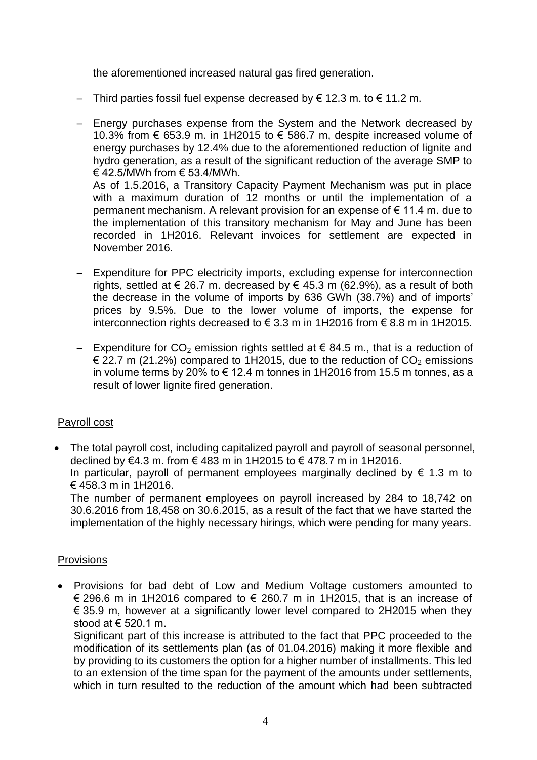the aforementioned increased natural gas fired generation.

- Third parties fossil fuel expense decreased by € 12.3 m, to € 11.2 m.
- ─ Energy purchases expense from the System and the Network decreased by 10.3% from € 653.9 m. in 1H2015 to € 586.7 m, despite increased volume of energy purchases by 12.4% due to the aforementioned reduction of lignite and hydro generation, as a result of the significant reduction of the average SMP to € 42.5/MWh from € 53.4/MWh. As of 1.5.2016, a Transitory Capacity Payment Mechanism was put in place

with a maximum duration of 12 months or until the implementation of a permanent mechanism. A relevant provision for an expense of  $\epsilon$  11.4 m, due to the implementation of this transitory mechanism for May and June has been recorded in 1H2016. Relevant invoices for settlement are expected in November 2016.

- Expenditure for PPC electricity imports, excluding expense for interconnection rights, settled at  $\epsilon$  26.7 m. decreased by  $\epsilon$  45.3 m (62.9%), as a result of both the decrease in the volume of imports by 636 GWh (38.7%) and of imports' prices by 9.5%. Due to the lower volume of imports, the expense for interconnection rights decreased to € 3.3 m in 1H2016 from € 8.8 m in 1H2015.
- $\overline{ }$  Expenditure for CO<sub>2</sub> emission rights settled at € 84.5 m., that is a reduction of  $\epsilon$  22.7 m (21.2%) compared to 1H2015, due to the reduction of CO<sub>2</sub> emissions in volume terms by 20% to  $\epsilon$  12.4 m tonnes in 1H2016 from 15.5 m tonnes, as a result of lower lignite fired generation.

## Payroll cost

 The total payroll cost, including capitalized payroll and payroll of seasonal personnel, declined by €4.3 m. from € 483 m in 1H2015 to € 478.7 m in 1H2016. In particular, payroll of permanent employees marginally declined by  $\epsilon$  1.3 m to € 458.3 m in 1H2016.

The number of permanent employees on payroll increased by 284 to 18,742 on 30.6.2016 from 18,458 on 30.6.2015, as a result of the fact that we have started the implementation of the highly necessary hirings, which were pending for many years.

## **Provisions**

• Provisions for bad debt of Low and Medium Voltage customers amounted to € 296.6 m in 1H2016 compared to  $∈$  260.7 m in 1H2015, that is an increase of  $\epsilon$  35.9 m, however at a significantly lower level compared to 2H2015 when they stood at  $\epsilon$  520.1 m.

Significant part of this increase is attributed to the fact that PPC proceeded to the modification of its settlements plan (as of 01.04.2016) making it more flexible and by providing to its customers the option for a higher number of installments. This led to an extension of the time span for the payment of the amounts under settlements, which in turn resulted to the reduction of the amount which had been subtracted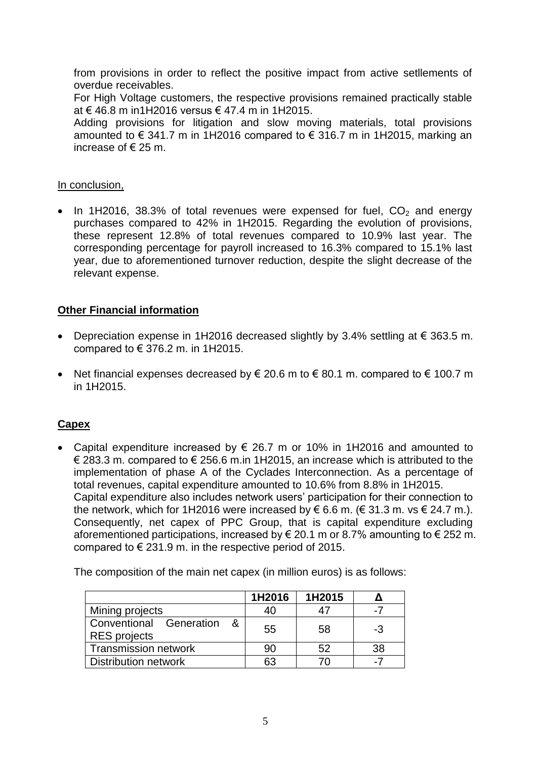from provisions in order to reflect the positive impact from active setllements of overdue receivables.

For High Voltage customers, the respective provisions remained practically stable at € 46.8 m in1H2016 versus € 47.4 m in 1H2015.

Adding provisions for litigation and slow moving materials, total provisions amounted to  $\epsilon$  341.7 m in 1H2016 compared to  $\epsilon$  316.7 m in 1H2015, marking an increase of  $\epsilon$  25 m.

#### In conclusion,

• In 1H2016, 38.3% of total revenues were expensed for fuel,  $CO<sub>2</sub>$  and energy purchases compared to 42% in 1H2015. Regarding the evolution of provisions, these represent 12.8% of total revenues compared to 10.9% last year. The corresponding percentage for payroll increased to 16.3% compared to 15.1% last year, due to aforementioned turnover reduction, despite the slight decrease of the relevant expense.

#### **Other Financial information**

- Depreciation expense in 1H2016 decreased slightly by 3.4% settling at  $€$  363.5 m. compared to € 376.2 m. in 1H2015.
- Net financial expenses decreased by  $\epsilon$  20.6 m to  $\epsilon$  80.1 m. compared to  $\epsilon$  100.7 m in 1H2015.

#### **Capex**

• Capital expenditure increased by  $\epsilon$  26.7 m or 10% in 1H2016 and amounted to € 283.3 m. compared to € 256.6 m.in 1H2015, an increase which is attributed to the implementation of phase A of the Cyclades Interconnection. As a percentage of total revenues, capital expenditure amounted to 10.6% from 8.8% in 1H2015. Capital expenditure also includes network users' participation for their connection to the network, which for 1H2016 were increased by  $\epsilon$  6.6 m. ( $\epsilon$  31.3 m. vs  $\epsilon$  24.7 m.). Consequently, net capex of PPC Group, that is capital expenditure excluding aforementioned participations, increased by  $\epsilon$  20.1 m or 8.7% amounting to  $\epsilon$  252 m. compared to  $\epsilon$  231.9 m. in the respective period of 2015.

The composition of the main net capex (in million euros) is as follows:

|                                                  | 1H2016 | 1H2015 |      |
|--------------------------------------------------|--------|--------|------|
| Mining projects                                  | 40     | 47     | -7   |
| Conventional Generation &<br><b>RES</b> projects | 55     | 58     | $-3$ |
| <b>Transmission network</b>                      | 90     | 52     | 38   |
| <b>Distribution network</b>                      |        |        | -7   |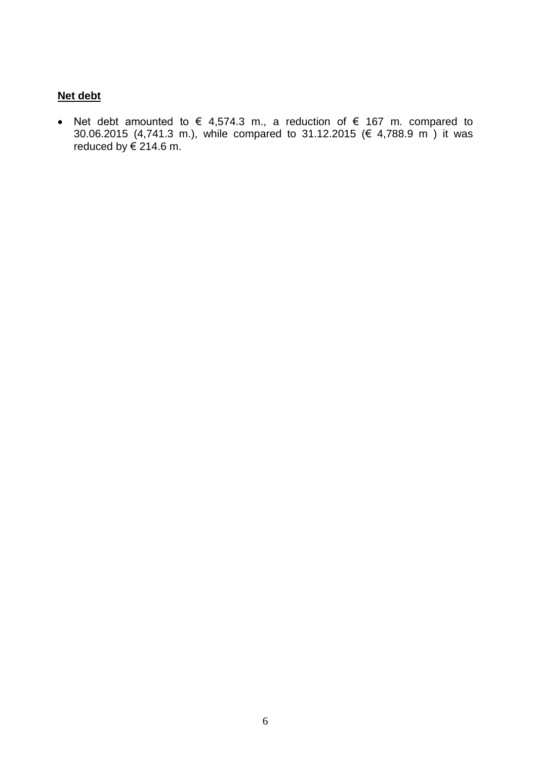## **Net debt**

• Net debt amounted to  $\epsilon$  4,574.3 m., a reduction of  $\epsilon$  167 m. compared to 30.06.2015 (4,741.3 m.), while compared to 31.12.2015 (€ 4,788.9 m ) it was reduced by  $\hat{\epsilon}$  214.6 m.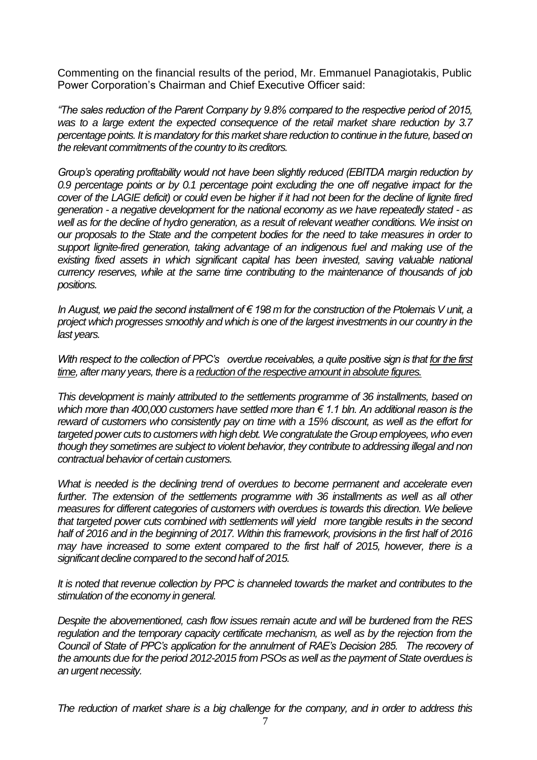Commenting on the financial results of the period, Mr. Emmanuel Panagiotakis, Public Power Corporation's Chairman and Chief Executive Officer said:

*"The sales reduction of the Parent Company by 9.8% compared to the respective period of 2015, was to a large extent the expected consequence of the retail market share reduction by 3.7 percentage points. It is mandatory for this market share reduction to continue in the future, based on the relevant commitments of the country to its creditors.* 

*Group's operating profitability would not have been slightly reduced (EBITDA margin reduction by 0.9 percentage points or by 0.1 percentage point excluding the one off negative impact for the cover of the LAGIE deficit) or could even be higher if it had not been for the decline of lignite fired generation - a negative development for the national economy as we have repeatedly stated - as well as for the decline of hydro generation, as a result of relevant weather conditions. We insist on our proposals to the State and the competent bodies for the need to take measures in order to support lignite-fired generation, taking advantage of an indigenous fuel and making use of the existing fixed assets in which significant capital has been invested, saving valuable national currency reserves, while at the same time contributing to the maintenance of thousands of job positions.*

*In August, we paid the second installment of € 198 m for the construction of the Ptolemais V unit, a project which progresses smoothly and which is one of the largest investments in our country in the last years.*

*With respect to the collection of PPC's overdue receivables, a quite positive sign is that for the first time, after many years, there is a reduction of the respective amount in absolute figures.*

*This development is mainly attributed to the settlements programme of 36 installments, based on which more than 400,000 customers have settled more than € 1.1 bln. An additional reason is the reward of customers who consistently pay on time with a 15% discount, as well as the effort for targeted power cuts to customers with high debt. We congratulate the Group employees, who even though they sometimes are subject to violent behavior, they contribute to addressing illegal and non contractual behavior of certain customers.* 

What is needed is the declining trend of overdues to become permanent and accelerate even further. The extension of the settlements programme with 36 installments as well as all other *measures for different categories of customers with overdues is towards this direction. We believe that targeted power cuts combined with settlements will yield more tangible results in the second half of 2016 and in the beginning of 2017. Within this framework, provisions in the first half of 2016 may have increased to some extent compared to the first half of 2015, however, there is a significant decline compared to the second half of 2015.* 

*It is noted that revenue collection by PPC is channeled towards the market and contributes to the stimulation of the economy in general.*

*Despite the abovementioned, cash flow issues remain acute and will be burdened from the RES regulation and the temporary capacity certificate mechanism, as well as by the rejection from the Council of State of PPC's application for the annulment of RAE's Decision 285. The recovery of the amounts due for the period 2012-2015 from PSOs as well as the payment of State overdues is an urgent necessity.*

*The reduction of market share is a big challenge for the company, and in order to address this*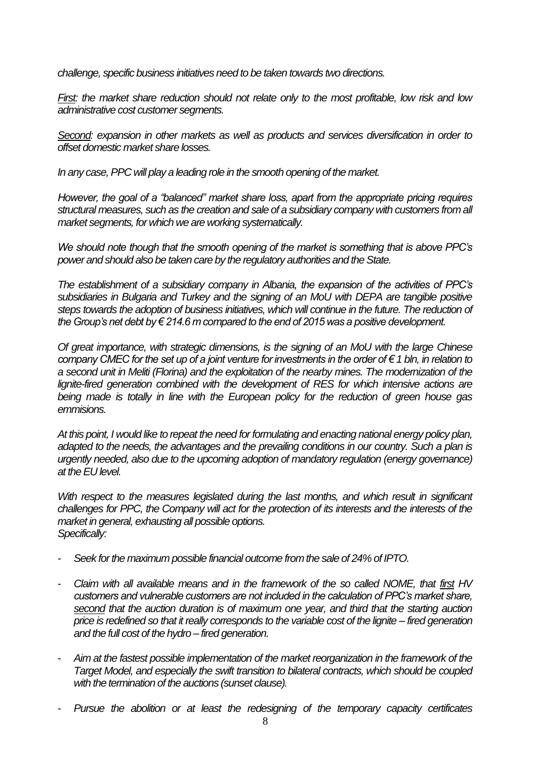*challenge, specific business initiatives need to be taken towards two directions.*

*First: the market share reduction should not relate only to the most profitable, low risk and low administrative cost customer segments.*

*Second: expansion in other markets as well as products and services diversification in order to offset domestic market share losses.* 

*In any case, PPC will play a leading role in the smooth opening of the market.*

*However, the goal of a "balanced" market share loss, apart from the appropriate pricing requires structural measures, such as the creation and sale of a subsidiary company with customers from all market segments, for which we are working systematically.* 

*We should note though that the smooth opening of the market is something that is above PPC's power and should also be taken care by the regulatory authorities and the State.*

*The establishment of a subsidiary company in Albania, the expansion of the activities of PPC's subsidiaries in Bulgaria and Turkey and the signing of an MoU with DEPA are tangible positive steps towards the adoption of business initiatives, which will continue in the future. The reduction of the Group's net debt by € 214.6 m compared to the end of 2015 was a positive development.*

*Of great importance, with strategic dimensions, is the signing of an MoU with the large Chinese company CMEC for the set up of a joint venture for investments in the order of € 1 bln, in relation to a second unit in Meliti (Florina) and the exploitation of the nearby mines. The modernization of the lignite-fired generation combined with the development of RES for which intensive actions are being made is totally in line with the European policy for the reduction of green house gas emmisions.*

*At this point, I would like to repeat the need for formulating and enacting national energy policy plan, adapted to the needs, the advantages and the prevailing conditions in our country. Such a plan is urgently needed, also due to the upcoming adoption of mandatory regulation (energy governance) at the EU level.*

*With respect to the measures legislated during the last months, and which result in significant challenges for PPC, the Company will act for the protection of its interests and the interests of the market in general, exhausting all possible options. Specifically:*

- *Seek for the maximum possible financial outcome from the sale of 24% of IPTO.*
- *Claim with all available means and in the framework of the so called NOME, that first HV customers and vulnerable customers are not included in the calculation of PPC's market share, second that the auction duration is of maximum one year, and third that the starting auction price is redefined so that it really corresponds to the variable cost of the lignite – fired generation and the full cost of the hydro – fired generation.*
- *Aim at the fastest possible implementation of the market reorganization in the framework of the Target Model, and especially the swift transition to bilateral contracts, which should be coupled with the termination of the auctions (sunset clause).*
- *Pursue the abolition or at least the redesigning of the temporary capacity certificates*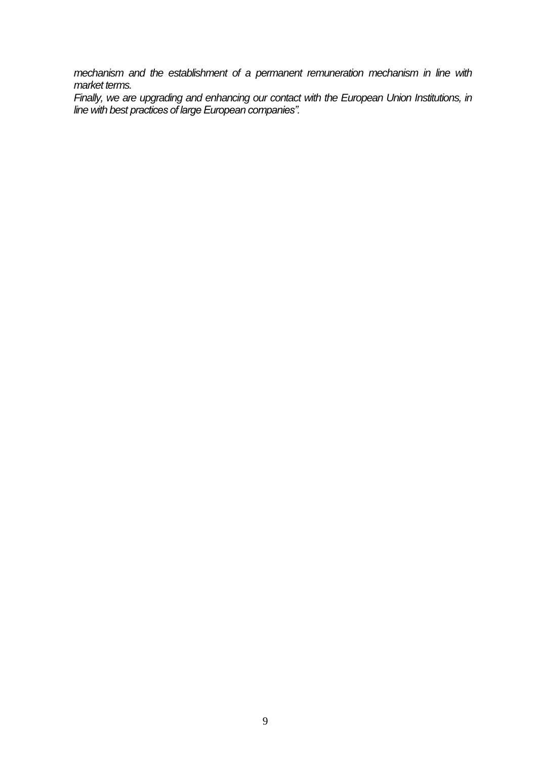*mechanism and the establishment of a permanent remuneration mechanism in line with market terms.*

Finally, we are upgrading and enhancing our contact with the European Union Institutions, in *line with best practices of large European companies".*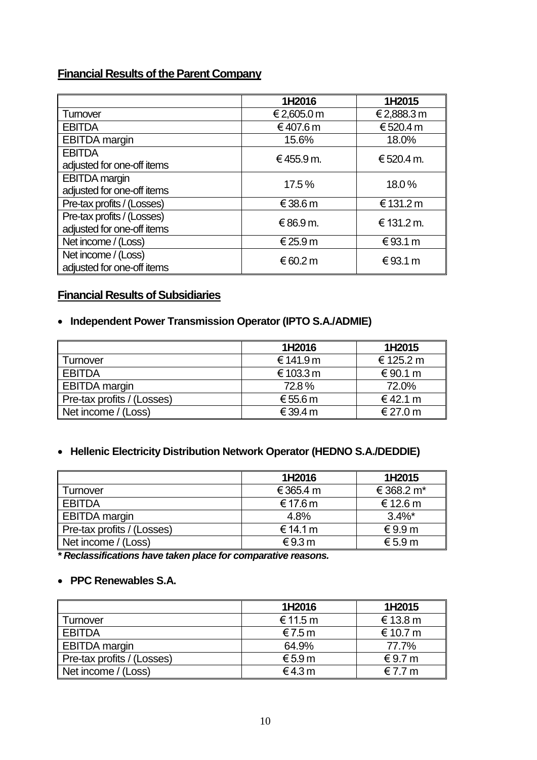## **Financial Results of the Parent Company**

|                                                          | 1H2016      | 1H2015      |
|----------------------------------------------------------|-------------|-------------|
| Tumover                                                  | € 2,605.0 m | € 2,888.3 m |
| <b>EBITDA</b>                                            | €407.6 m    | €520.4 m    |
| <b>EBITDA</b> margin                                     | 15.6%       | 18.0%       |
| <b>EBITDA</b><br>adjusted for one-off items              | €455.9 m.   | € 520.4 m.  |
| <b>EBITDA</b> margin<br>adjusted for one-off items       | 17.5%       | 18.0%       |
| Pre-tax profits / (Losses)                               | €38.6 m     | € 131.2 m   |
| Pre-tax profits / (Losses)<br>adjusted for one-off items | € 86.9 m.   | € 131.2 m.  |
| Net income / (Loss)                                      | €25.9m      | €93.1 m     |
| Net income / (Loss)<br>adjusted for one-off items        | € 60.2 $m$  | €93.1 m     |

# **Financial Results of Subsidiaries**

### **Independent Power Transmission Operator (IPTO S.A./ADMIE)**

|                            | 1H2016      | 1H2015    |
|----------------------------|-------------|-----------|
| I Turnover                 | € 141.9 m   | € 125.2 m |
| I EBITDA                   | € 103.3 $m$ | € 90.1 m  |
| ∥ EBITDA margin            | 72.8%       | 72.0%     |
| Pre-tax profits / (Losses) | € 55.6 $m$  | € 42.1 m  |
| Net income / (Loss)        | € 39.4 $m$  | € 27.0 m  |

## **Hellenic Electricity Distribution Network Operator (HEDNO S.A./DEDDIE)**

|                            | 1H2016    | 1H2015                 |
|----------------------------|-----------|------------------------|
| <b>I Turnover</b>          | € 365.4 m | € 368.2 m <sup>*</sup> |
| l EBITDA                   | € 17.6 m  | € 12.6 m               |
| EBITDA margin              | 4.8%      | $3.4\%$ *              |
| Pre-tax profits / (Losses) | € 14.1 m  | € 9.9 $m$              |
| Net income / (Loss)        | €9.3 $m$  | € 5.9 $m$              |

*\* Reclassifications have taken place for comparative reasons.*

## **PPC Renewables S.A.**

|                            | 1H2016   | 1H2015     |
|----------------------------|----------|------------|
| ∦Turnover                  | € 11.5 m | € 13.8 m   |
| <b>EBITDA</b>              | €7.5 $m$ | € 10.7 $m$ |
| EBITDA margin              | 64.9%    | 77.7%      |
| Pre-tax profits / (Losses) | €5.9 $m$ | € 9.7 $m$  |
| Net income / (Loss)        | €4.3 $m$ | € 7.7 $m$  |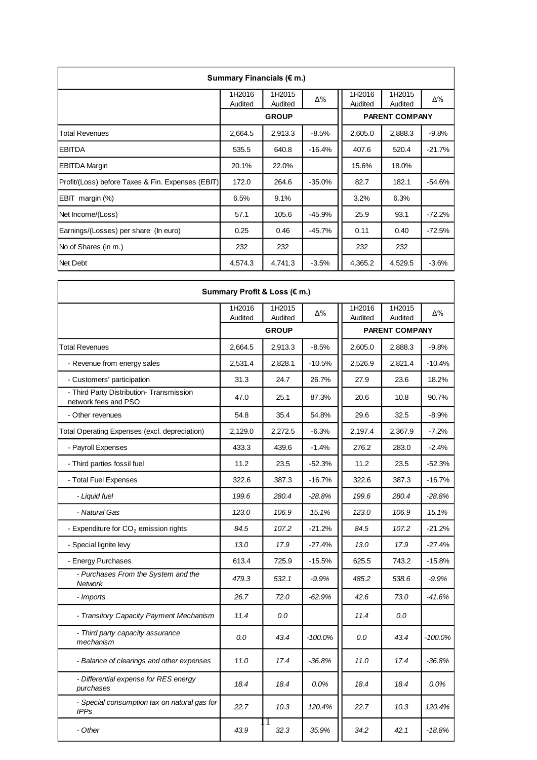| Summary Financials ( $\notin$ m.)                 |                   |                   |          |                   |                       |          |  |  |
|---------------------------------------------------|-------------------|-------------------|----------|-------------------|-----------------------|----------|--|--|
|                                                   | 1H2016<br>Audited | 1H2015<br>Audited | Δ%       | 1H2016<br>Audited | 1H2015<br>Audited     | Δ%       |  |  |
|                                                   |                   | <b>GROUP</b>      |          |                   | <b>PARENT COMPANY</b> |          |  |  |
| <b>Total Revenues</b>                             | 2,664.5           | 2,913.3           | $-8.5%$  | 2,605.0           | 2,888.3               | $-9.8%$  |  |  |
| <b>EBITDA</b>                                     | 535.5             | 640.8             | $-16.4%$ | 407.6             | 520.4                 | $-21.7%$ |  |  |
| <b>EBITDA Margin</b>                              | 20.1%             | 22.0%             |          | 15.6%             | 18.0%                 |          |  |  |
| Profit/(Loss) before Taxes & Fin. Expenses (EBIT) | 172.0             | 264.6             | $-35.0%$ | 82.7              | 182.1                 | $-54.6%$ |  |  |
| EBIT margin (%)                                   | 6.5%              | 9.1%              |          | 3.2%              | 6.3%                  |          |  |  |
| Net Income/(Loss)                                 | 57.1              | 105.6             | -45.9%   | 25.9              | 93.1                  | $-72.2%$ |  |  |
| Earnings/(Losses) per share (In euro)             | 0.25              | 0.46              | $-45.7%$ | 0.11              | 0.40                  | $-72.5%$ |  |  |
| No of Shares (in m.)                              | 232               | 232               |          | 232               | 232                   |          |  |  |
| Net Debt                                          | 4,574.3           | 4,741.3           | $-3.5%$  | 4,365.2           | 4,529.5               | $-3.6%$  |  |  |

| Summary Profit & Loss (€ m.)                                     |                   |                   |            |                       |                   |            |
|------------------------------------------------------------------|-------------------|-------------------|------------|-----------------------|-------------------|------------|
|                                                                  | 1H2016<br>Audited | 1H2015<br>Audited | $\Delta\%$ | 1H2016<br>Audited     | 1H2015<br>Audited | Δ%         |
|                                                                  |                   | <b>GROUP</b>      |            | <b>PARENT COMPANY</b> |                   |            |
| <b>Total Revenues</b>                                            | 2,664.5           | 2,913.3           | $-8.5%$    | 2,605.0               | 2,888.3           | $-9.8%$    |
| - Revenue from energy sales                                      | 2,531.4           | 2,828.1           | $-10.5%$   | 2,526.9               | 2,821.4           | $-10.4%$   |
| - Customers' participation                                       | 31.3              | 24.7              | 26.7%      | 27.9                  | 23.6              | 18.2%      |
| - Third Party Distribution- Transmission<br>network fees and PSO | 47.0              | 25.1              | 87.3%      | 20.6                  | 10.8              | 90.7%      |
| - Other revenues                                                 | 54.8              | 35.4              | 54.8%      | 29.6                  | 32.5              | $-8.9\%$   |
| Total Operating Expenses (excl. depreciation)                    | 2,129.0           | 2,272.5           | $-6.3%$    | 2,197.4               | 2,367.9           | $-7.2%$    |
| - Payroll Expenses                                               | 433.3             | 439.6             | $-1.4%$    | 276.2                 | 283.0             | $-2.4%$    |
| - Third parties fossil fuel                                      | 11.2              | 23.5              | $-52.3%$   | 11.2                  | 23.5              | $-52.3%$   |
| - Total Fuel Expenses                                            | 322.6             | 387.3             | $-16.7%$   | 322.6                 | 387.3             | $-16.7%$   |
| - Liquid fuel                                                    | 199.6             | 280.4             | $-28.8%$   | 199.6                 | 280.4             | $-28.8%$   |
| - Natural Gas                                                    | 123.0             | 106.9             | 15.1%      | 123.0                 | 106.9             | 15.1%      |
| - Expenditure for $CO2$ emission rights                          | 84.5              | 107.2             | $-21.2%$   | 84.5                  | 107.2             | $-21.2%$   |
| - Special lignite levy                                           | 13.0              | 17.9              | $-27.4%$   | 13.0                  | 17.9              | $-27.4%$   |
| - Energy Purchases                                               | 613.4             | 725.9             | $-15.5%$   | 625.5                 | 743.2             | $-15.8%$   |
| - Purchases From the System and the<br><b>Network</b>            | 479.3             | 532.1             | $-9.9%$    | 485.2                 | 538.6             | $-9.9%$    |
| - Imports                                                        | 26.7              | 72.0              | $-62.9%$   | 42.6                  | 73.0              | $-41.6%$   |
| - Transitory Capacity Payment Mechanism                          | 11.4              | 0.0               |            | 11.4                  | 0.0               |            |
| - Third party capacity assurance<br>mechanism                    | 0.0               | 43.4              | $-100.0%$  | 0.0                   | 43.4              | $-100.0\%$ |
| - Balance of clearings and other expenses                        | 11.0              | 17.4              | $-36.8%$   | 11.0                  | 17.4              | $-36.8%$   |
| - Differential expense for RES energy<br>purchases               | 18.4              | 18.4              | $0.0\%$    | 18.4                  | 18.4              | $0.0\%$    |
| - Special consumption tax on natural gas for<br><b>IPPs</b>      | 22.7              | 10.3              | 120.4%     | 22.7                  | 10.3              | 120.4%     |
| - Other                                                          | 43.9              | Ι.<br>32.3        | 35.9%      | 34.2                  | 42.1              | $-18.8%$   |